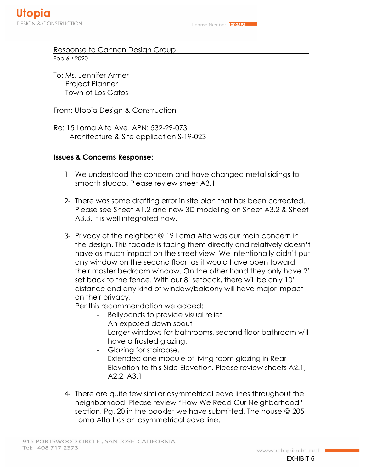## Response to Cannon Design Group Feb.6th 2020

To: Ms. Jennifer Armer Project Planner Town of Los Gatos

From: Utopia Design & Construction

Re: 15 Loma Alta Ave. APN: 532-29-073 Architecture & Site application S-19-023

## **Issues & Concerns Response:**

- 1- We understood the concern and have changed metal sidings to smooth stucco. Please review sheet A3.1
- 2- There was some drafting error in site plan that has been corrected. Please see Sheet A1.2 and new 3D modeling on Sheet A3.2 & Sheet A3.3. It is well integrated now.
- 3- Privacy of the neighbor @ 19 Loma Alta was our main concern in the design. This facade is facing them directly and relatively doesn't have as much impact on the street view. We intentionally didn't put any window on the second floor, as it would have open toward their master bedroom window. On the other hand they only have 2' set back to the fence. With our 8' setback, there will be only 10' distance and any kind of window/balcony will have major impact on their privacy.

Per this recommendation we added:

- Bellybands to provide visual relief.
- An exposed down spout
- Larger windows for bathrooms, second floor bathroom will have a frosted glazing.
- Glazing for staircase.
- Extended one module of living room glazing in Rear Elevation to this Side Elevation. Please review sheets A2.1, A2.2, A3.1
- 4- There are quite few similar asymmetrical eave lines throughout the neighborhood. Please review "How We Read Our Neighborhood" section, Pg. 20 in the booklet we have submitted. The house @ 205 Loma Alta has an asymmetrical eave line.